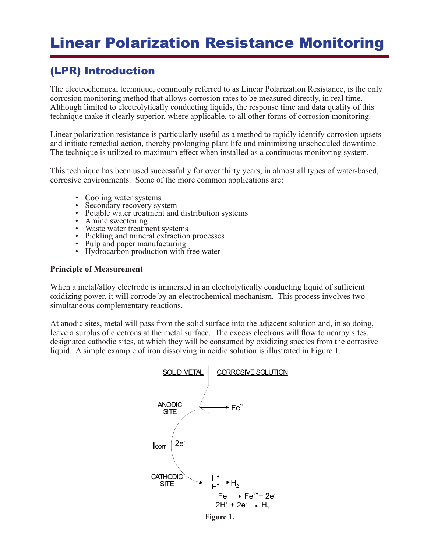# Linear Polarization Resistance Monitoring

## (LPR) Introduction

The electrochemical technique, commonly referred to as Linear Polarization Resistance, is the only corrosion monitoring method that allows corrosion rates to be measured directly, in real time. Although limited to electrolytically conducting liquids, the response time and data quality of this technique make it clearly superior, where applicable, to all other forms of corrosion monitoring.

Linear polarization resistance is particularly useful as a method to rapidly identify corrosion upsets and initiate remedial action, thereby prolonging plant life and minimizing unscheduled downtime. The technique is utilized to maximum effect when installed as a continuous monitoring system.

This technique has been used successfully for over thirty years, in almost all types of water-based, corrosive environments. Some of the more common applications are:

- 
- 
- Cooling water systems<br>
Secondary recovery system<br>
Potable water treatment and distribution systems<br>
Amine sweetening<br>
Waste water treatment systems<br>
Pickling and mineral extraction processes<br>
Pulp and paper m
- 
- 
- 
- 
- 

#### **Principle of Measurement**

When a metal/alloy electrode is immersed in an electrolytically conducting liquid of sufficient oxidizing power, it will corrode by an electrochemical mechanism. This process involves two simultaneous complementary reactions.

At anodic sites, metal will pass from the solid surface into the adjacent solution and, in so doing, leave a surplus of electrons at the metal surface. The excess electrons will flow to nearby sites, designated cathodic sites, at which they will be consumed by oxidizing species from the corrosive liquid. A simple example of iron dissolving in acidic solution is illustrated in Figure 1.



**Figure 1.**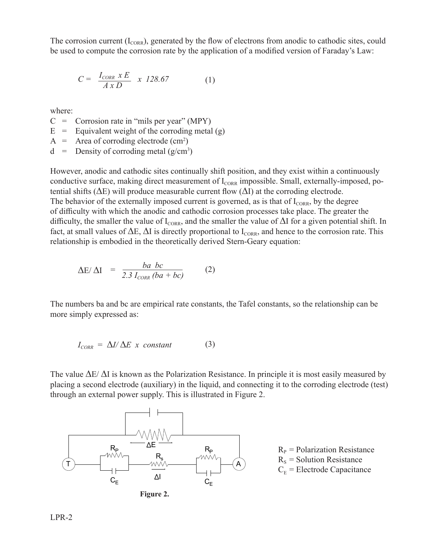The corrosion current  $(I_{CORR})$ , generated by the flow of electrons from anodic to cathodic sites, could be used to compute the corrosion rate by the application of a modified version of Faraday's Law:

$$
C = \frac{I_{CORR} \times E}{A \times D} \times 128.67 \tag{1}
$$

where:

 $C =$  Corrosion rate in "mils per year" (MPY)

- $E =$  Equivalent weight of the corroding metal (g)
- $A =$  Area of corroding electrode (cm<sup>2</sup>)
- $d =$  Density of corroding metal (g/cm<sup>3</sup>)

However, anodic and cathodic sites continually shift position, and they exist within a continuously conductive surface, making direct measurement of  $I_{CORR}$  impossible. Small, externally-imposed, potential shifts (*∆*E) will produce measurable current flow (*∆*I) at the corroding electrode. The behavior of the externally imposed current is governed, as is that of  $I_{CORR}$ , by the degree of difficulty with which the anodic and cathodic corrosion processes take place. The greater the difficulty, the smaller the value of I<sub>CORR</sub>, and the smaller the value of  $\Delta I$  for a given potential shift. In fact, at small values of  $\Delta E$ ,  $\Delta I$  is directly proportional to I<sub>CORR</sub>, and hence to the corrosion rate. This relationship is embodied in the theoretically derived Stern-Geary equation:

$$
\Delta E / \Delta I = \frac{ba \; bc}{2.3 \; I_{CORR} \; (ba + bc)} \tag{2}
$$

The numbers ba and bc are empirical rate constants, the Tafel constants, so the relationship can be more simply expressed as:

$$
I_{CORR} = \Delta I / \Delta E \times constant \tag{3}
$$

The value *∆*E/ *∆*I is known as the Polarization Resistance. In principle it is most easily measured by placing a second electrode (auxiliary) in the liquid, and connecting it to the corroding electrode (test) through an external power supply. This is illustrated in Figure 2.



 $R_P$  = Polarization Resistance  $R<sub>S</sub>$  = Solution Resistance  $C<sub>E</sub>$  = Electrode Capacitance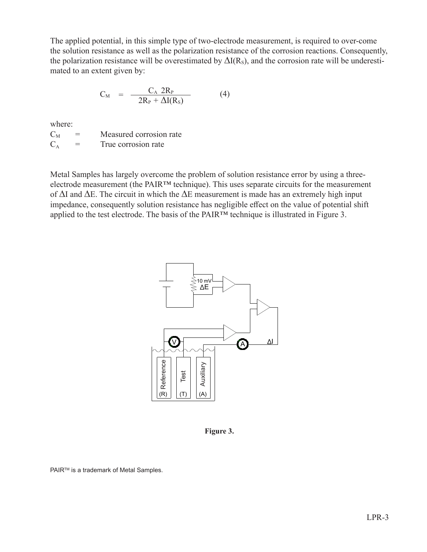The applied potential, in this simple type of two-electrode measurement, is required to over-come the solution resistance as well as the polarization resistance of the corrosion reactions. Consequently, the polarization resistance will be overestimated by  $\Delta I(R_s)$ , and the corrosion rate will be underestimated to an extent given by:

$$
C_M = \frac{C_A 2R_P}{2R_P + \Delta I(R_S)}
$$
(4)

where:

 $C_M$  = Measured corrosion rate  $C_A$  = True corrosion rate

Metal Samples has largely overcome the problem of solution resistance error by using a threeelectrode measurement (the PAIR™ technique). This uses separate circuits for the measurement of *∆*I and *∆*E. The circuit in which the *∆*E measurement is made has an extremely high input impedance, consequently solution resistance has negligible effect on the value of potential shift applied to the test electrode. The basis of the PAIR™ technique is illustrated in Figure 3.



**Figure 3.**

PAIR<sup>™</sup> is a trademark of Metal Samples.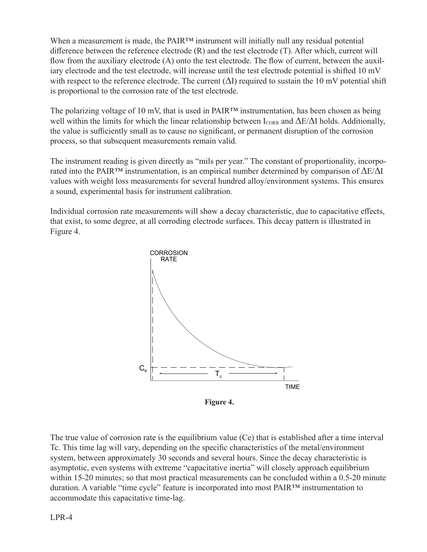When a measurement is made, the PAIR™ instrument will initially null any residual potential difference between the reference electrode (R) and the test electrode (T). After which, current will flow from the auxiliary electrode (A) onto the test electrode. The flow of current, between the auxiliary electrode and the test electrode, will increase until the test electrode potential is shifted 10 mV with respect to the reference electrode. The current (*∆*I) required to sustain the 10 mV potential shift is proportional to the corrosion rate of the test electrode.

The polarizing voltage of 10 mV, that is used in PAIR™ instrumentation, has been chosen as being well within the limits for which the linear relationship between  $I_{CORR}$  and  $\Delta E/\Delta I$  holds. Additionally, the value is sufficiently small as to cause no significant, or permanent disruption of the corrosion process, so that subsequent measurements remain valid.

The instrument reading is given directly as "mils per year." The constant of proportionality, incorporated into the PAIR™ instrumentation, is an empirical number determined by comparison of *∆*E/*∆*I values with weight loss measurements for several hundred alloy/environment systems. This ensures a sound, experimental basis for instrument calibration.

Individual corrosion rate measurements will show a decay characteristic, due to capacitative effects, that exist, to some degree, at all corroding electrode surfaces. This decay pattern is illustrated in Figure 4.



**Figure 4.**

The true value of corrosion rate is the equilibrium value (Ce) that is established after a time interval Tc. This time lag will vary, depending on the specific characteristics of the metal/environment system, between approximately 30 seconds and several hours. Since the decay characteristic is asymptotic, even systems with extreme "capacitative inertia" will closely approach equilibrium within 15-20 minutes; so that most practical measurements can be concluded within a 0.5-20 minute duration. A variable "time cycle" feature is incorporated into most PAIR™ instrumentation to accommodate this capacitative time-lag.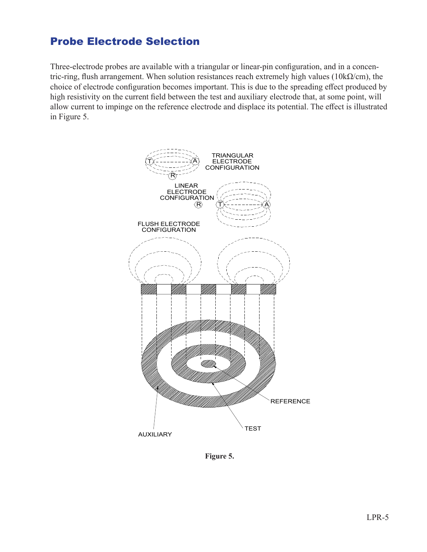#### Probe Electrode Selection

Three-electrode probes are available with a triangular or linear-pin configuration, and in a concentric-ring, flush arrangement. When solution resistances reach extremely high values (10k $\Omega$ /cm), the choice of electrode configuration becomes important. This is due to the spreading effect produced by high resistivity on the current field between the test and auxiliary electrode that, at some point, will allow current to impinge on the reference electrode and displace its potential. The effect is illustrated in Figure 5.



**Figure 5.**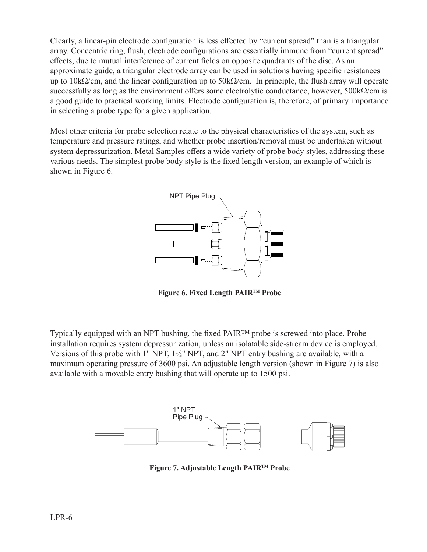Clearly, a linear-pin electrode configuration is less effected by "current spread" than is a triangular array. Concentric ring, flush, electrode configurations are essentially immune from "current spread" effects, due to mutual interference of current fields on opposite quadrants of the disc. As an approximate guide, a triangular electrode array can be used in solutions having specific resistances up to  $10k\Omega/cm$ , and the linear configuration up to  $50k\Omega/cm$ . In principle, the flush array will operate successfully as long as the environment offers some electrolytic conductance, however,  $500 \text{k}\Omega/\text{cm}$  is a good guide to practical working limits. Electrode configuration is, therefore, of primary importance in selecting a probe type for a given application.

Most other criteria for probe selection relate to the physical characteristics of the system, such as temperature and pressure ratings, and whether probe insertion/removal must be undertaken without system depressurization. Metal Samples offers a wide variety of probe body styles, addressing these various needs. The simplest probe body style is the fixed length version, an example of which is shown in Figure 6.

![](_page_5_Figure_2.jpeg)

**Figure 6. Fixed Length PAIRTM Probe**

Typically equipped with an NPT bushing, the fixed PAIR™ probe is screwed into place. Probe installation requires system depressurization, unless an isolatable side-stream device is employed. Versions of this probe with 1" NPT, 1½" NPT, and 2" NPT entry bushing are available, with a maximum operating pressure of 3600 psi. An adjustable length version (shown in Figure 7) is also available with a movable entry bushing that will operate up to 1500 psi.

![](_page_5_Figure_5.jpeg)

**Figure 7. Adjustable Length PAIRTM Probe**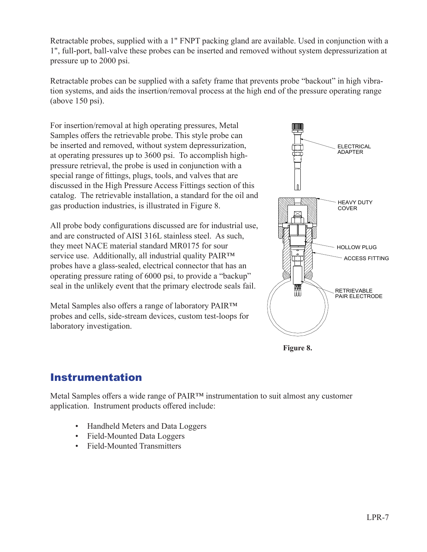Retractable probes, supplied with a 1" FNPT packing gland are available. Used in conjunction with a 1", full-port, ball-valve these probes can be inserted and removed without system depressurization at pressure up to 2000 psi.

Retractable probes can be supplied with a safety frame that prevents probe "backout" in high vibration systems, and aids the insertion/removal process at the high end of the pressure operating range (above 150 psi).

For insertion/removal at high operating pressures, Metal Samples offers the retrievable probe. This style probe can be inserted and removed, without system depressurization, at operating pressures up to 3600 psi. To accomplish highpressure retrieval, the probe is used in conjunction with a special range of fittings, plugs, tools, and valves that are discussed in the High Pressure Access Fittings section of this catalog. The retrievable installation, a standard for the oil and gas production industries, is illustrated in Figure 8.

All probe body configurations discussed are for industrial use, and are constructed of AISI 316L stainless steel. As such, they meet NACE material standard MR0175 for sour service use. Additionally, all industrial quality PAIR™ probes have a glass-sealed, electrical connector that has an operating pressure rating of 6000 psi, to provide a "backup" seal in the unlikely event that the primary electrode seals fail.

Metal Samples also offers a range of laboratory PAIR™ probes and cells, side-stream devices, custom test-loops for laboratory investigation.

![](_page_6_Figure_5.jpeg)

**Figure 8.**

#### Instrumentation

Metal Samples offers a wide range of PAIR™ instrumentation to suit almost any customer application. Instrument products offered include:

- Handheld Meters and Data Loggers
- Field-Mounted Data Loggers
- Field-Mounted Transmitters